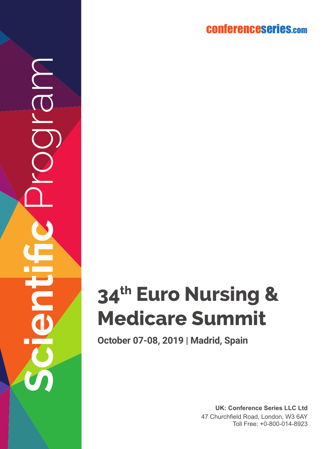conferenceserie s.co m

# **34th Euro Nursing & Medicare Summit**

**October 07-08, 2019 | Madrid, Spain**

**Scientific** Program

 $\widetilde{\overline{\mathbb{O}}}$ 

**UK: Conference Series LLC Ltd** 47 Churchfield Road, London, W3 6AY Toll Free: +0-800-014-8923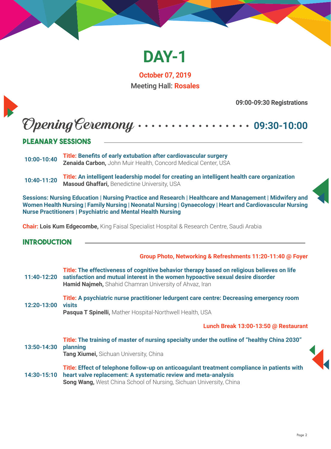

**October 07, 2019** Meeting Hall: **Rosales**

**09:00-09:30 Registrations**

## Opening Ceremony **09:30-10:00**

#### **Pleanary SESSIONS**

- **10:00-10:40 Title: Benefits of early extubation after cardiovascular surgery Zenaida Carbon,** John Muir Health, Concord Medical Center, USA
- **10:40-11:20 Title: An intelligent leadership model for creating an intelligent health care organization Masoud Ghaffari,** Benedictine University, USA

**Sessions: Nursing Education | Nursing Practice and Research | Healthcare and Management | Midwifery and Women Health Nursing | Family Nursing | Neonatal Nursing | Gynaecology | Heart and Cardiovascular Nursing Nurse Practitioners | Psychiatric and Mental Health Nursing**

**Chair: Lois Kum Edgecombe,** King Faisal Specialist Hospital & Research Centre, Saudi Arabia

#### **Introduction**

**Group Photo, Networking & Refreshments 11:20-11:40 @ Foyer** 

|             | Title: The effectiveness of cognitive behavior therapy based on religious believes on life<br>11:40-12:20 satisfaction and mutual interest in the women hypoactive sexual desire disorder<br>Hamid Najmeh, Shahid Chamran University of Ahvaz, Iran |
|-------------|-----------------------------------------------------------------------------------------------------------------------------------------------------------------------------------------------------------------------------------------------------|
| 12:20-13:00 | Title: A psychiatric nurse practitioner ledurgent care centre: Decreasing emergency room<br>visits<br>Pasqua T Spinelli, Mather Hospital-Northwell Health, USA                                                                                      |
|             | Lunch Break 13:00-13:50 @ Restaurant                                                                                                                                                                                                                |
| 13:50-14:30 | Title: The training of master of nursing specialty under the outline of "healthy China 2030"<br>planning<br>Tang Xiumei, Sichuan University, China                                                                                                  |
| 14:30-15:10 | Title: Effect of telephone follow-up on anticoagulant treatment compliance in patients with<br>heart valve replacement: A systematic review and meta-analysis<br><b>Song Wang, West China School of Nursing, Sichuan University, China</b>          |